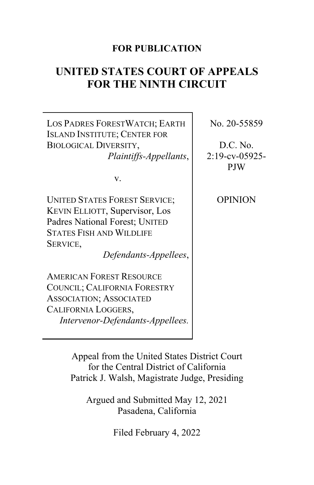### **FOR PUBLICATION**

# **UNITED STATES COURT OF APPEALS FOR THE NINTH CIRCUIT**

LOS PADRES FORESTWATCH; EARTH ISLAND INSTITUTE; CENTER FOR BIOLOGICAL DIVERSITY, *Plaintiffs-Appellants*,

v.

UNITED STATES FOREST SERVICE; KEVIN ELLIOTT, Supervisor, Los Padres National Forest; UNITED STATES FISH AND WILDLIFE SERVICE,

*Defendants-Appellees*,

AMERICAN FOREST RESOURCE COUNCIL; CALIFORNIA FORESTRY ASSOCIATION; ASSOCIATED CALIFORNIA LOGGERS, *Intervenor-Defendants-Appellees.* No. 20-55859

D.C. No. 2:19-cv-05925- PJW

OPINION

Appeal from the United States District Court for the Central District of California Patrick J. Walsh, Magistrate Judge, Presiding

Argued and Submitted May 12, 2021 Pasadena, California

Filed February 4, 2022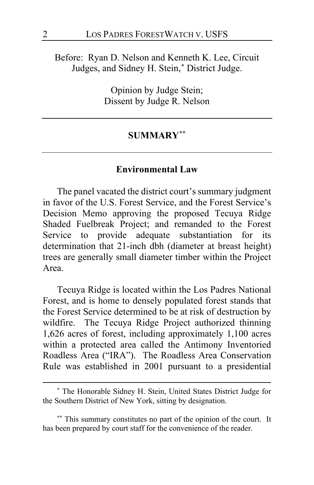Before: Ryan D. Nelson and Kenneth K. Lee, Circuit Judges, and Sidney H. Stein,**[\\*](#page-1-0)** District Judge.

> Opinion by Judge Stein; Dissent by Judge R. Nelson

#### **SUMMARY[\\*\\*](#page-1-1)**

### **Environmental Law**

The panel vacated the district court's summary judgment in favor of the U.S. Forest Service, and the Forest Service's Decision Memo approving the proposed Tecuya Ridge Shaded Fuelbreak Project; and remanded to the Forest Service to provide adequate substantiation for its determination that 21-inch dbh (diameter at breast height) trees are generally small diameter timber within the Project Area.

Tecuya Ridge is located within the Los Padres National Forest, and is home to densely populated forest stands that the Forest Service determined to be at risk of destruction by wildfire. The Tecuya Ridge Project authorized thinning 1,626 acres of forest, including approximately 1,100 acres within a protected area called the Antimony Inventoried Roadless Area ("IRA"). The Roadless Area Conservation Rule was established in 2001 pursuant to a presidential

<span id="page-1-0"></span>**<sup>\*</sup>** The Honorable Sidney H. Stein, United States District Judge for the Southern District of New York, sitting by designation.

<span id="page-1-1"></span>**<sup>\*\*</sup>** This summary constitutes no part of the opinion of the court. It has been prepared by court staff for the convenience of the reader.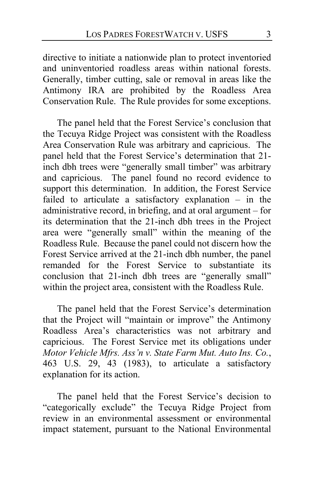directive to initiate a nationwide plan to protect inventoried and uninventoried roadless areas within national forests. Generally, timber cutting, sale or removal in areas like the Antimony IRA are prohibited by the Roadless Area Conservation Rule. The Rule provides for some exceptions.

The panel held that the Forest Service's conclusion that the Tecuya Ridge Project was consistent with the Roadless Area Conservation Rule was arbitrary and capricious. The panel held that the Forest Service's determination that 21 inch dbh trees were "generally small timber" was arbitrary and capricious. The panel found no record evidence to support this determination. In addition, the Forest Service failed to articulate a satisfactory explanation – in the administrative record, in briefing, and at oral argument – for its determination that the 21-inch dbh trees in the Project area were "generally small" within the meaning of the Roadless Rule. Because the panel could not discern how the Forest Service arrived at the 21-inch dbh number, the panel remanded for the Forest Service to substantiate its conclusion that 21-inch dbh trees are "generally small" within the project area, consistent with the Roadless Rule.

The panel held that the Forest Service's determination that the Project will "maintain or improve" the Antimony Roadless Area's characteristics was not arbitrary and capricious. The Forest Service met its obligations under *Motor Vehicle Mfrs. Ass'n v. State Farm Mut. Auto Ins. Co.*, 463 U.S. 29, 43 (1983), to articulate a satisfactory explanation for its action.

The panel held that the Forest Service's decision to "categorically exclude" the Tecuya Ridge Project from review in an environmental assessment or environmental impact statement, pursuant to the National Environmental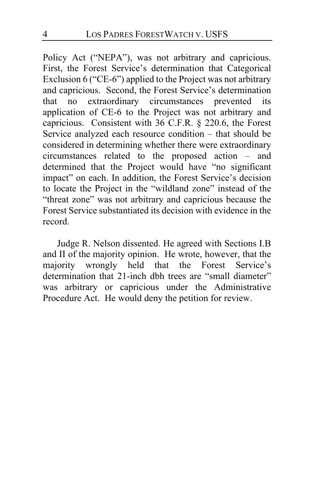Policy Act ("NEPA"), was not arbitrary and capricious. First, the Forest Service's determination that Categorical Exclusion 6 ("CE-6") applied to the Project was not arbitrary and capricious. Second, the Forest Service's determination that no extraordinary circumstances prevented its application of CE-6 to the Project was not arbitrary and capricious. Consistent with 36 C.F.R. § 220.6, the Forest Service analyzed each resource condition – that should be considered in determining whether there were extraordinary circumstances related to the proposed action – and determined that the Project would have "no significant impact" on each. In addition, the Forest Service's decision to locate the Project in the "wildland zone" instead of the "threat zone" was not arbitrary and capricious because the Forest Service substantiated its decision with evidence in the record.

Judge R. Nelson dissented. He agreed with Sections I.B and II of the majority opinion. He wrote, however, that the majority wrongly held that the Forest Service's determination that 21-inch dbh trees are "small diameter" was arbitrary or capricious under the Administrative Procedure Act. He would deny the petition for review.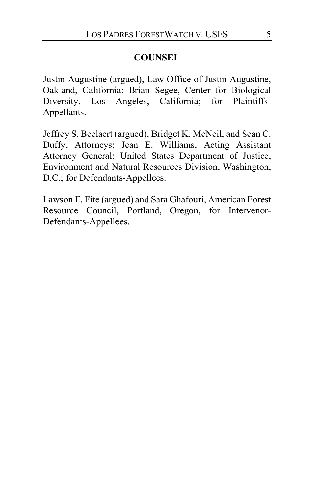# **COUNSEL**

Justin Augustine (argued), Law Office of Justin Augustine, Oakland, California; Brian Segee, Center for Biological Diversity, Los Angeles, California; for Plaintiffs-Appellants.

Jeffrey S. Beelaert (argued), Bridget K. McNeil, and Sean C. Duffy, Attorneys; Jean E. Williams, Acting Assistant Attorney General; United States Department of Justice, Environment and Natural Resources Division, Washington, D.C.; for Defendants-Appellees.

Lawson E. Fite (argued) and Sara Ghafouri, American Forest Resource Council, Portland, Oregon, for Intervenor-Defendants-Appellees.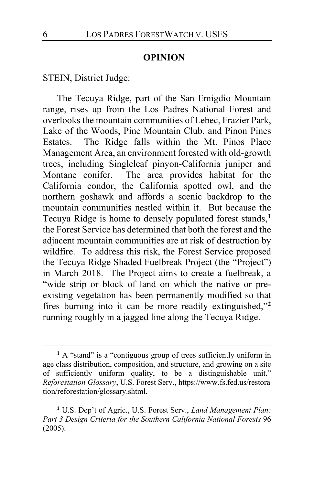#### **OPINION**

STEIN, District Judge:

<span id="page-5-2"></span>The Tecuya Ridge, part of the San Emigdio Mountain range, rises up from the Los Padres National Forest and overlooks the mountain communities of Lebec, Frazier Park, Lake of the Woods, Pine Mountain Club, and Pinon Pines Estates. The Ridge falls within the Mt. Pinos Place Management Area, an environment forested with old-growth trees, including Singleleaf pinyon-California juniper and Montane conifer. The area provides habitat for the California condor, the California spotted owl, and the northern goshawk and affords a scenic backdrop to the mountain communities nestled within it. But because the Tecuya Ridge is home to densely populated forest stands,**[1](#page-5-0)** the Forest Service has determined that both the forest and the adjacent mountain communities are at risk of destruction by wildfire. To address this risk, the Forest Service proposed the Tecuya Ridge Shaded Fuelbreak Project (the "Project") in March 2018. The Project aims to create a fuelbreak, a "wide strip or block of land on which the native or preexisting vegetation has been permanently modified so that fires burning into it can be more readily extinguished,"**[2](#page-5-1)** running roughly in a jagged line along the Tecuya Ridge.

<span id="page-5-0"></span><sup>&</sup>lt;sup>1</sup> A "stand" is a "contiguous group of trees sufficiently uniform in age class distribution, composition, and structure, and growing on a site of sufficiently uniform quality, to be a distinguishable unit." *Reforestation Glossary*, U.S. Forest Serv., https://www.fs.fed.us/restora tion/reforestation/glossary.shtml.

<span id="page-5-1"></span>**<sup>2</sup>** U.S. Dep't of Agric., U.S. Forest Serv., *Land Management Plan: Part 3 Design Criteria for the Southern California National Forests* 96 (2005).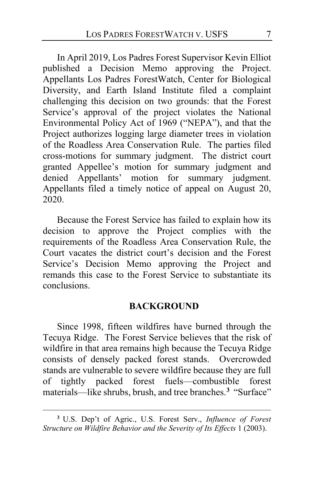In April 2019, Los Padres Forest Supervisor Kevin Elliot published a Decision Memo approving the Project. Appellants Los Padres ForestWatch, Center for Biological Diversity, and Earth Island Institute filed a complaint challenging this decision on two grounds: that the Forest Service's approval of the project violates the National Environmental Policy Act of 1969 ("NEPA"), and that the Project authorizes logging large diameter trees in violation of the Roadless Area Conservation Rule. The parties filed cross-motions for summary judgment. The district court granted Appellee's motion for summary judgment and denied Appellants' motion for summary judgment. Appellants filed a timely notice of appeal on August 20, 2020.

Because the Forest Service has failed to explain how its decision to approve the Project complies with the requirements of the Roadless Area Conservation Rule, the Court vacates the district court's decision and the Forest Service's Decision Memo approving the Project and remands this case to the Forest Service to substantiate its conclusions.

### **BACKGROUND**

Since 1998, fifteen wildfires have burned through the Tecuya Ridge. The Forest Service believes that the risk of wildfire in that area remains high because the Tecuya Ridge consists of densely packed forest stands. Overcrowded stands are vulnerable to severe wildfire because they are full of tightly packed forest fuels—combustible forest materials—like shrubs, brush, and tree branches.**[3](#page-6-0)** "Surface"

<span id="page-6-0"></span>**<sup>3</sup>** U.S. Dep't of Agric., U.S. Forest Serv., *Influence of Forest Structure on Wildfire Behavior and the Severity of Its Effects* 1 (2003).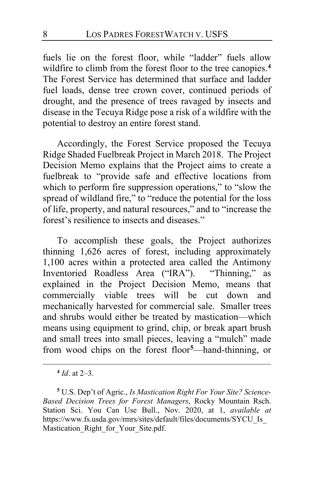fuels lie on the forest floor, while "ladder" fuels allow wildfire to climb from the forest floor to the tree canopies.**[4](#page-7-0)** The Forest Service has determined that surface and ladder fuel loads, dense tree crown cover, continued periods of drought, and the presence of trees ravaged by insects and disease in the Tecuya Ridge pose a risk of a wildfire with the potential to destroy an entire forest stand.

Accordingly, the Forest Service proposed the Tecuya Ridge Shaded Fuelbreak Project in March 2018. The Project Decision Memo explains that the Project aims to create a fuelbreak to "provide safe and effective locations from which to perform fire suppression operations," to "slow the spread of wildland fire," to "reduce the potential for the loss of life, property, and natural resources," and to "increase the forest's resilience to insects and diseases."

To accomplish these goals, the Project authorizes thinning 1,626 acres of forest, including approximately 1,100 acres within a protected area called the Antimony Inventoried Roadless Area ("IRA"). "Thinning," as explained in the Project Decision Memo, means that commercially viable trees will be cut down and mechanically harvested for commercial sale. Smaller trees and shrubs would either be treated by mastication—which means using equipment to grind, chip, or break apart brush and small trees into small pieces, leaving a "mulch" made from wood chips on the forest floor**[5](#page-7-1)** —hand-thinning, or

**<sup>4</sup>** *Id*. at 2–3.

<span id="page-7-1"></span><span id="page-7-0"></span>**<sup>5</sup>** U.S. Dep't of Agric., *Is Mastication Right For Your Site? Science-Based Decision Trees for Forest Managers*, Rocky Mountain Rsch. Station Sci. You Can Use Bull., Nov. 2020, at 1, *available at*  https://www.fs.usda.gov/rmrs/sites/default/files/documents/SYCU\_Is\_ Mastication Right for Your Site.pdf.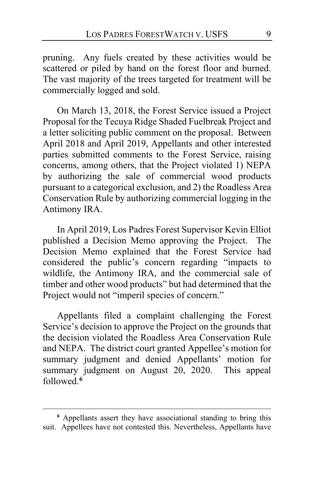pruning. Any fuels created by these activities would be scattered or piled by hand on the forest floor and burned. The vast majority of the trees targeted for treatment will be commercially logged and sold.

On March 13, 2018, the Forest Service issued a Project Proposal for the Tecuya Ridge Shaded Fuelbreak Project and a letter soliciting public comment on the proposal. Between April 2018 and April 2019, Appellants and other interested parties submitted comments to the Forest Service, raising concerns, among others, that the Project violated 1) NEPA by authorizing the sale of commercial wood products pursuant to a categorical exclusion, and 2) the Roadless Area Conservation Rule by authorizing commercial logging in the Antimony IRA.

In April 2019, Los Padres Forest Supervisor Kevin Elliot published a Decision Memo approving the Project. The Decision Memo explained that the Forest Service had considered the public's concern regarding "impacts to wildlife, the Antimony IRA, and the commercial sale of timber and other wood products" but had determined that the Project would not "imperil species of concern."

Appellants filed a complaint challenging the Forest Service's decision to approve the Project on the grounds that the decision violated the Roadless Area Conservation Rule and NEPA. The district court granted Appellee's motion for summary judgment and denied Appellants' motion for summary judgment on August 20, 2020. This appeal followed.**[6](#page-8-0)**

<span id="page-8-0"></span>**<sup>6</sup>** Appellants assert they have associational standing to bring this suit. Appellees have not contested this. Nevertheless, Appellants have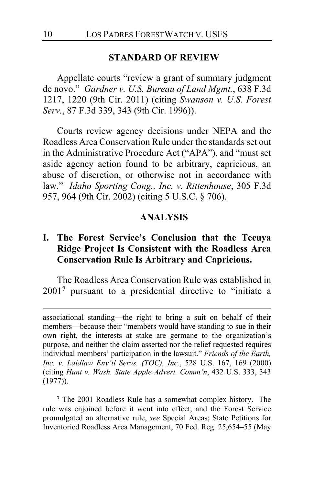#### **STANDARD OF REVIEW**

Appellate courts "review a grant of summary judgment de novo." *Gardner v. U.S. Bureau of Land Mgmt.*, 638 F.3d 1217, 1220 (9th Cir. 2011) (citing *Swanson v. U.S. Forest Serv.*, 87 F.3d 339, 343 (9th Cir. 1996)).

Courts review agency decisions under NEPA and the Roadless Area Conservation Rule under the standards set out in the Administrative Procedure Act ("APA"), and "must set aside agency action found to be arbitrary, capricious, an abuse of discretion, or otherwise not in accordance with law." *Idaho Sporting Cong., Inc. v. Rittenhouse*, 305 F.3d 957, 964 (9th Cir. 2002) (citing 5 U.S.C. § 706).

### **ANALYSIS**

# **I. The Forest Service's Conclusion that the Tecuya Ridge Project Is Consistent with the Roadless Area Conservation Rule Is Arbitrary and Capricious.**

The Roadless Area Conservation Rule was established in 2001**[7](#page-9-0)** pursuant to a presidential directive to "initiate a

<span id="page-9-0"></span>**<sup>7</sup>** The 2001 Roadless Rule has a somewhat complex history. The rule was enjoined before it went into effect, and the Forest Service promulgated an alternative rule, *see* Special Areas; State Petitions for Inventoried Roadless Area Management, 70 Fed. Reg. 25,654**–**55 (May

associational standing—the right to bring a suit on behalf of their members—because their "members would have standing to sue in their own right, the interests at stake are germane to the organization's purpose, and neither the claim asserted nor the relief requested requires individual members' participation in the lawsuit." *Friends of the Earth, Inc. v. Laidlaw Env'tl Servs. (TOC), Inc.*, 528 U.S. 167, 169 (2000) (citing *Hunt v. Wash. State Apple Advert. Comm'n*, 432 U.S. 333, 343 (1977)).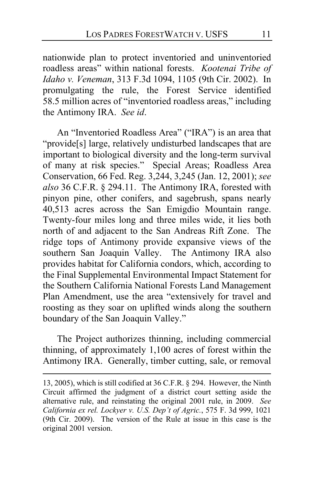nationwide plan to protect inventoried and uninventoried roadless areas" within national forests. *Kootenai Tribe of Idaho v. Veneman*, 313 F.3d 1094, 1105 (9th Cir. 2002). In promulgating the rule, the Forest Service identified 58.5 million acres of "inventoried roadless areas," including the Antimony IRA. *See id*.

An "Inventoried Roadless Area" ("IRA") is an area that "provide[s] large, relatively undisturbed landscapes that are important to biological diversity and the long-term survival of many at risk species." Special Areas; Roadless Area Conservation, 66 Fed. Reg. 3,244, 3,245 (Jan. 12, 2001); *see also* 36 C.F.R. § 294.11. The Antimony IRA, forested with pinyon pine, other conifers, and sagebrush, spans nearly 40,513 acres across the San Emigdio Mountain range. Twenty-four miles long and three miles wide, it lies both north of and adjacent to the San Andreas Rift Zone. The ridge tops of Antimony provide expansive views of the southern San Joaquin Valley. The Antimony IRA also provides habitat for California condors, which, according to the Final Supplemental Environmental Impact Statement for the Southern California National Forests Land Management Plan Amendment, use the area "extensively for travel and roosting as they soar on uplifted winds along the southern boundary of the San Joaquin Valley."

The Project authorizes thinning, including commercial thinning, of approximately 1,100 acres of forest within the Antimony IRA. Generally, timber cutting, sale, or removal

<sup>13, 2005),</sup> which is still codified at 36 C.F.R. § 294. However, the Ninth Circuit affirmed the judgment of a district court setting aside the alternative rule, and reinstating the original 2001 rule, in 2009. *See California ex rel. Lockyer v. U.S. Dep't of Agric.*, 575 F. 3d 999, 1021 (9th Cir. 2009). The version of the Rule at issue in this case is the original 2001 version.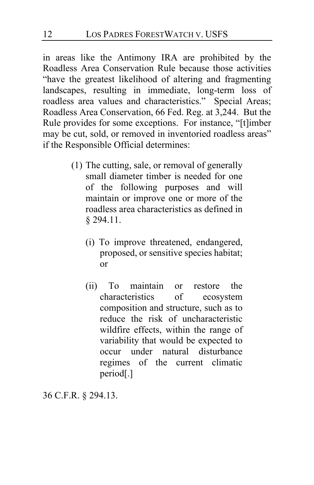in areas like the Antimony IRA are prohibited by the Roadless Area Conservation Rule because those activities "have the greatest likelihood of altering and fragmenting landscapes, resulting in immediate, long-term loss of roadless area values and characteristics." Special Areas; Roadless Area Conservation, 66 Fed. Reg. at 3,244. But the Rule provides for some exceptions. For instance, "[t]imber may be cut, sold, or removed in inventoried roadless areas" if the Responsible Official determines:

- (1) The cutting, sale, or removal of generally small diameter timber is needed for one of the following purposes and will maintain or improve one or more of the roadless area characteristics as defined in § 294.11.
	- (i) To improve threatened, endangered, proposed, or sensitive species habitat; or
	- (ii) To maintain or restore the characteristics of ecosystem composition and structure, such as to reduce the risk of uncharacteristic wildfire effects, within the range of variability that would be expected to occur under natural disturbance regimes of the current climatic period[.]

36 C.F.R. § 294.13.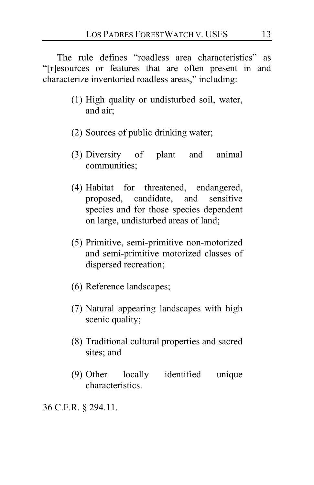The rule defines "roadless area characteristics" as "[r]esources or features that are often present in and characterize inventoried roadless areas," including:

- (1) High quality or undisturbed soil, water, and air;
- (2) Sources of public drinking water;
- (3) Diversity of plant and animal communities;
- (4) Habitat for threatened, endangered, proposed, candidate, and sensitive species and for those species dependent on large, undisturbed areas of land;
- (5) Primitive, semi-primitive non-motorized and semi-primitive motorized classes of dispersed recreation;
- (6) Reference landscapes;
- (7) Natural appearing landscapes with high scenic quality;
- (8) Traditional cultural properties and sacred sites; and
- (9) Other locally identified unique characteristics.

36 C.F.R. § 294.11.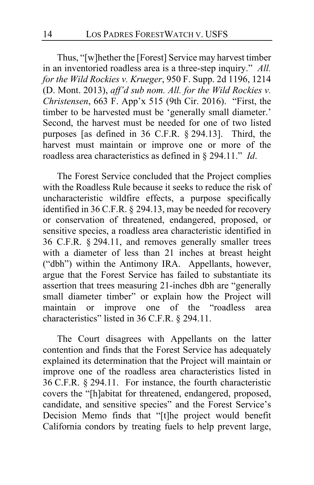Thus, "[w]hether the [Forest] Service may harvest timber in an inventoried roadless area is a three-step inquiry." *All. for the Wild Rockies v. Krueger*, 950 F. Supp. 2d 1196, 1214 (D. Mont. 2013), *aff'd sub nom. All. for the Wild Rockies v. Christensen*, 663 F. App'x 515 (9th Cir. 2016). "First, the timber to be harvested must be 'generally small diameter.' Second, the harvest must be needed for one of two listed purposes [as defined in 36 C.F.R. § 294.13]. Third, the harvest must maintain or improve one or more of the roadless area characteristics as defined in § 294.11." *Id*.

The Forest Service concluded that the Project complies with the Roadless Rule because it seeks to reduce the risk of uncharacteristic wildfire effects, a purpose specifically identified in 36 C.F.R. § 294.13, may be needed for recovery or conservation of threatened, endangered, proposed, or sensitive species, a roadless area characteristic identified in 36 C.F.R. § 294.11, and removes generally smaller trees with a diameter of less than 21 inches at breast height ("dbh") within the Antimony IRA. Appellants, however, argue that the Forest Service has failed to substantiate its assertion that trees measuring 21-inches dbh are "generally small diameter timber" or explain how the Project will maintain or improve one of the "roadless area characteristics" listed in 36 C.F.R. § 294.11.

<span id="page-13-0"></span>The Court disagrees with Appellants on the latter contention and finds that the Forest Service has adequately explained its determination that the Project will maintain or improve one of the roadless area characteristics listed in 36 C.F.R. § 294.11. For instance, the fourth characteristic covers the "[h]abitat for threatened, endangered, proposed, candidate, and sensitive species" and the Forest Service's Decision Memo finds that "[t]he project would benefit California condors by treating fuels to help prevent large,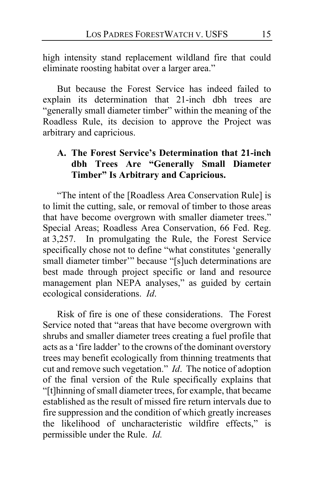high intensity stand replacement wildland fire that could eliminate roosting habitat over a larger area."

But because the Forest Service has indeed failed to explain its determination that 21-inch dbh trees are "generally small diameter timber" within the meaning of the Roadless Rule, its decision to approve the Project was arbitrary and capricious.

### **A. The Forest Service's Determination that 21-inch dbh Trees Are "Generally Small Diameter Timber" Is Arbitrary and Capricious.**

<span id="page-14-0"></span>"The intent of the [Roadless Area Conservation Rule] is to limit the cutting, sale, or removal of timber to those areas that have become overgrown with smaller diameter trees." Special Areas; Roadless Area Conservation, 66 Fed. Reg. at 3,257. In promulgating the Rule, the Forest Service specifically chose not to define "what constitutes 'generally small diameter timber'" because "[s]uch determinations are best made through project specific or land and resource management plan NEPA analyses," as guided by certain ecological considerations. *Id*.

Risk of fire is one of these considerations. The Forest Service noted that "areas that have become overgrown with shrubs and smaller diameter trees creating a fuel profile that acts as a 'fire ladder' to the crowns of the dominant overstory trees may benefit ecologically from thinning treatments that cut and remove such vegetation." *Id*. The notice of adoption of the final version of the Rule specifically explains that "[t]hinning of small diameter trees, for example, that became established as the result of missed fire return intervals due to fire suppression and the condition of which greatly increases the likelihood of uncharacteristic wildfire effects," is permissible under the Rule. *Id.*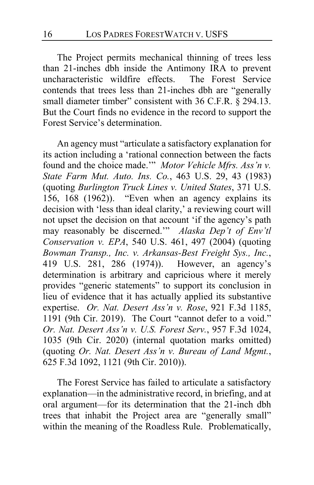<span id="page-15-0"></span>The Project permits mechanical thinning of trees less than 21-inches dbh inside the Antimony IRA to prevent uncharacteristic wildfire effects. The Forest Service contends that trees less than 21-inches dbh are "generally small diameter timber" consistent with 36 C.F.R. § 294.13. But the Court finds no evidence in the record to support the Forest Service's determination.

An agency must "articulate a satisfactory explanation for its action including a 'rational connection between the facts found and the choice made.'" *Motor Vehicle Mfrs. Ass'n v. State Farm Mut. Auto. Ins. Co.*, 463 U.S. 29, 43 (1983) (quoting *Burlington Truck Lines v. United States*, 371 U.S. 156, 168 (1962)). "Even when an agency explains its decision with 'less than ideal clarity,' a reviewing court will not upset the decision on that account 'if the agency's path may reasonably be discerned.'" *Alaska Dep't of Env'tl Conservation v. EPA*, 540 U.S. 461, 497 (2004) (quoting *Bowman Transp., Inc. v. Arkansas-Best Freight Sys., Inc.*, 419 U.S. 281, 286 (1974)). However, an agency's determination is arbitrary and capricious where it merely provides "generic statements" to support its conclusion in lieu of evidence that it has actually applied its substantive expertise. *Or. Nat. Desert Ass'n v. Rose*, 921 F.3d 1185, 1191 (9th Cir. 2019). The Court "cannot defer to a void." *Or. Nat. Desert Ass'n v. U.S. Forest Serv.*, 957 F.3d 1024, 1035 (9th Cir. 2020) (internal quotation marks omitted) (quoting *Or. Nat. Desert Ass'n v. Bureau of Land Mgmt.*, 625 F.3d 1092, 1121 (9th Cir. 2010)).

<span id="page-15-1"></span>The Forest Service has failed to articulate a satisfactory explanation—in the administrative record, in briefing, and at oral argument—for its determination that the 21-inch dbh trees that inhabit the Project area are "generally small" within the meaning of the Roadless Rule. Problematically,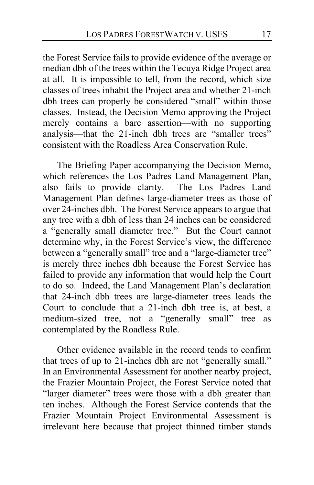<span id="page-16-1"></span>the Forest Service fails to provide evidence of the average or median dbh of the trees within the Tecuya Ridge Project area at all. It is impossible to tell, from the record, which size classes of trees inhabit the Project area and whether 21-inch dbh trees can properly be considered "small" within those classes. Instead, the Decision Memo approving the Project merely contains a bare assertion—with no supporting analysis—that the 21-inch dbh trees are "smaller trees" consistent with the Roadless Area Conservation Rule.

<span id="page-16-0"></span>The Briefing Paper accompanying the Decision Memo, which references the Los Padres Land Management Plan, also fails to provide clarity. The Los Padres Land Management Plan defines large-diameter trees as those of over 24-inches dbh. The Forest Service appears to argue that any tree with a dbh of less than 24 inches can be considered a "generally small diameter tree." But the Court cannot determine why, in the Forest Service's view, the difference between a "generally small" tree and a "large-diameter tree" is merely three inches dbh because the Forest Service has failed to provide any information that would help the Court to do so. Indeed, the Land Management Plan's declaration that 24-inch dbh trees are large-diameter trees leads the Court to conclude that a 21-inch dbh tree is, at best, a medium-sized tree, not a "generally small" tree as contemplated by the Roadless Rule.

Other evidence available in the record tends to confirm that trees of up to 21-inches dbh are not "generally small." In an Environmental Assessment for another nearby project, the Frazier Mountain Project, the Forest Service noted that "larger diameter" trees were those with a dbh greater than ten inches. Although the Forest Service contends that the Frazier Mountain Project Environmental Assessment is irrelevant here because that project thinned timber stands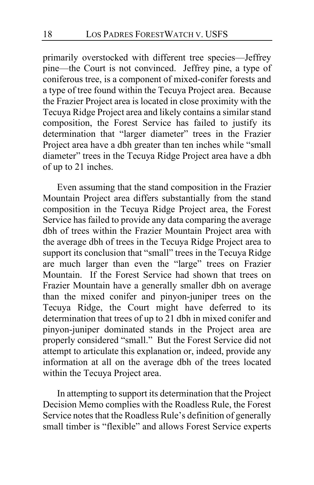<span id="page-17-0"></span>primarily overstocked with different tree species—Jeffrey pine—the Court is not convinced. Jeffrey pine, a type of coniferous tree, is a component of mixed-conifer forests and a type of tree found within the Tecuya Project area. Because the Frazier Project area is located in close proximity with the Tecuya Ridge Project area and likely contains a similar stand composition, the Forest Service has failed to justify its determination that "larger diameter" trees in the Frazier Project area have a dbh greater than ten inches while "small diameter" trees in the Tecuya Ridge Project area have a dbh of up to 21 inches.

Even assuming that the stand composition in the Frazier Mountain Project area differs substantially from the stand composition in the Tecuya Ridge Project area, the Forest Service has failed to provide any data comparing the average dbh of trees within the Frazier Mountain Project area with the average dbh of trees in the Tecuya Ridge Project area to support its conclusion that "small" trees in the Tecuya Ridge are much larger than even the "large" trees on Frazier Mountain. If the Forest Service had shown that trees on Frazier Mountain have a generally smaller dbh on average than the mixed conifer and pinyon-juniper trees on the Tecuya Ridge, the Court might have deferred to its determination that trees of up to 21 dbh in mixed conifer and pinyon-juniper dominated stands in the Project area are properly considered "small." But the Forest Service did not attempt to articulate this explanation or, indeed, provide any information at all on the average dbh of the trees located within the Tecuya Project area.

In attempting to support its determination that the Project Decision Memo complies with the Roadless Rule, the Forest Service notes that the Roadless Rule's definition of generally small timber is "flexible" and allows Forest Service experts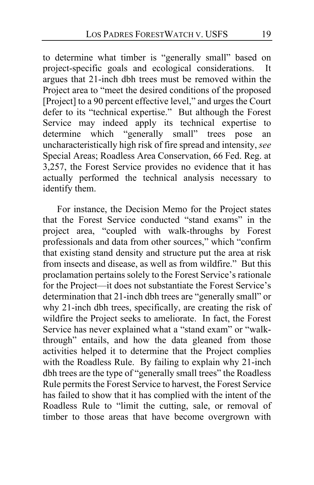to determine what timber is "generally small" based on project-specific goals and ecological considerations. It argues that 21-inch dbh trees must be removed within the Project area to "meet the desired conditions of the proposed [Project] to a 90 percent effective level," and urges the Court defer to its "technical expertise." But although the Forest Service may indeed apply its technical expertise to determine which "generally small" trees pose an uncharacteristically high risk of fire spread and intensity, *see*  Special Areas; Roadless Area Conservation, 66 Fed. Reg. at 3,257, the Forest Service provides no evidence that it has actually performed the technical analysis necessary to identify them.

For instance, the Decision Memo for the Project states that the Forest Service conducted "stand exams" in the project area, "coupled with walk-throughs by Forest professionals and data from other sources," which "confirm that existing stand density and structure put the area at risk from insects and disease, as well as from wildfire." But this proclamation pertains solely to the Forest Service's rationale for the Project—it does not substantiate the Forest Service's determination that 21-inch dbh trees are "generally small" or why 21-inch dbh trees, specifically, are creating the risk of wildfire the Project seeks to ameliorate. In fact, the Forest Service has never explained what a "stand exam" or "walkthrough" entails, and how the data gleaned from those activities helped it to determine that the Project complies with the Roadless Rule. By failing to explain why 21-inch dbh trees are the type of "generally small trees" the Roadless Rule permits the Forest Service to harvest, the Forest Service has failed to show that it has complied with the intent of the Roadless Rule to "limit the cutting, sale, or removal of timber to those areas that have become overgrown with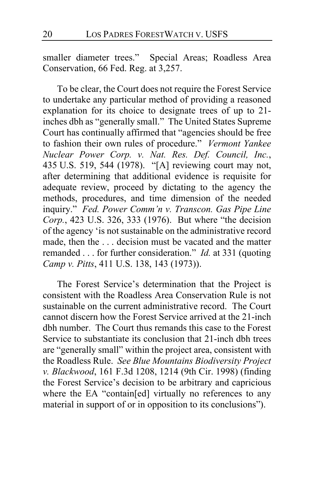smaller diameter trees." Special Areas; Roadless Area Conservation, 66 Fed. Reg. at 3,257.

<span id="page-19-0"></span>To be clear, the Court does not require the Forest Service to undertake any particular method of providing a reasoned explanation for its choice to designate trees of up to 21 inches dbh as "generally small." The United States Supreme Court has continually affirmed that "agencies should be free to fashion their own rules of procedure." *Vermont Yankee Nuclear Power Corp. v. Nat. Res. Def. Council, Inc.*, 435 U.S. 519, 544 (1978). "[A] reviewing court may not, after determining that additional evidence is requisite for adequate review, proceed by dictating to the agency the methods, procedures, and time dimension of the needed inquiry." *Fed. Power Comm'n v. Transcon. Gas Pipe Line Corp.*, 423 U.S. 326, 333 (1976). But where "the decision of the agency 'is not sustainable on the administrative record made, then the . . . decision must be vacated and the matter remanded . . . for further consideration." *Id.* at 331 (quoting *Camp v. Pitts*, 411 U.S. 138, 143 (1973)).

The Forest Service's determination that the Project is consistent with the Roadless Area Conservation Rule is not sustainable on the current administrative record. The Court cannot discern how the Forest Service arrived at the 21-inch dbh number. The Court thus remands this case to the Forest Service to substantiate its conclusion that 21-inch dbh trees are "generally small" within the project area, consistent with the Roadless Rule. *See Blue Mountains Biodiversity Project v. Blackwood*, 161 F.3d 1208, 1214 (9th Cir. 1998) (finding the Forest Service's decision to be arbitrary and capricious where the EA "contain[ed] virtually no references to any material in support of or in opposition to its conclusions").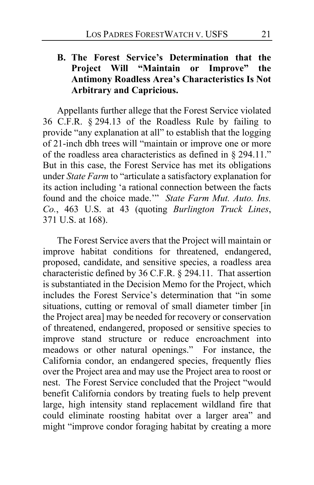# **B. The Forest Service's Determination that the Project Will "Maintain or Improve" the Antimony Roadless Area's Characteristics Is Not Arbitrary and Capricious.**

Appellants further allege that the Forest Service violated 36 C.F.R. § 294.13 of the Roadless Rule by failing to provide "any explanation at all" to establish that the logging of 21-inch dbh trees will "maintain or improve one or more of the roadless area characteristics as defined in § 294.11." But in this case, the Forest Service has met its obligations under *State Farm* to "articulate a satisfactory explanation for its action including 'a rational connection between the facts found and the choice made.'" *State Farm Mut. Auto. Ins. Co.*, 463 U.S. at 43 (quoting *Burlington Truck Lines*, 371 U.S. at 168).

The Forest Service avers that the Project will maintain or improve habitat conditions for threatened, endangered, proposed, candidate, and sensitive species, a roadless area characteristic defined by 36 C.F.R. § 294.11. That assertion is substantiated in the Decision Memo for the Project, which includes the Forest Service's determination that "in some situations, cutting or removal of small diameter timber [in the Project area] may be needed for recovery or conservation of threatened, endangered, proposed or sensitive species to improve stand structure or reduce encroachment into meadows or other natural openings." For instance, the California condor, an endangered species, frequently flies over the Project area and may use the Project area to roost or nest. The Forest Service concluded that the Project "would benefit California condors by treating fuels to help prevent large, high intensity stand replacement wildland fire that could eliminate roosting habitat over a larger area" and might "improve condor foraging habitat by creating a more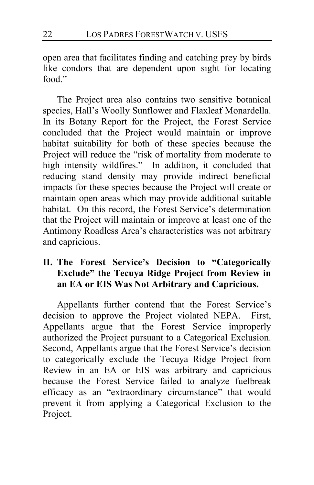open area that facilitates finding and catching prey by birds like condors that are dependent upon sight for locating food."

The Project area also contains two sensitive botanical species, Hall's Woolly Sunflower and Flaxleaf Monardella. In its Botany Report for the Project, the Forest Service concluded that the Project would maintain or improve habitat suitability for both of these species because the Project will reduce the "risk of mortality from moderate to high intensity wildfires." In addition, it concluded that reducing stand density may provide indirect beneficial impacts for these species because the Project will create or maintain open areas which may provide additional suitable habitat. On this record, the Forest Service's determination that the Project will maintain or improve at least one of the Antimony Roadless Area's characteristics was not arbitrary and capricious.

# **II. The Forest Service's Decision to "Categorically Exclude" the Tecuya Ridge Project from Review in an EA or EIS Was Not Arbitrary and Capricious.**

Appellants further contend that the Forest Service's decision to approve the Project violated NEPA. First, Appellants argue that the Forest Service improperly authorized the Project pursuant to a Categorical Exclusion. Second, Appellants argue that the Forest Service's decision to categorically exclude the Tecuya Ridge Project from Review in an EA or EIS was arbitrary and capricious because the Forest Service failed to analyze fuelbreak efficacy as an "extraordinary circumstance" that would prevent it from applying a Categorical Exclusion to the Project.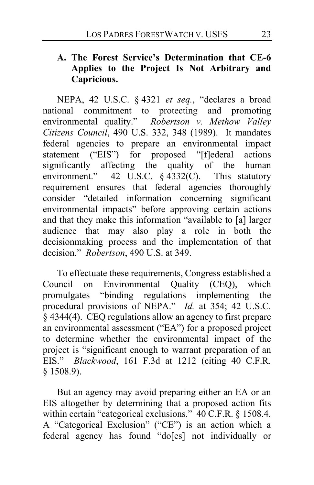# **A. The Forest Service's Determination that CE-6 Applies to the Project Is Not Arbitrary and Capricious.**

NEPA, 42 U.S.C. § 4321 *et seq.*, "declares a broad national commitment to protecting and promoting environmental quality." *Robertson v. Methow Valley Citizens Council*, 490 U.S. 332, 348 (1989). It mandates federal agencies to prepare an environmental impact statement ("EIS") for proposed "[f]ederal actions significantly affecting the quality of the human environment." 42 U.S.C. § 4332(C). This statutory requirement ensures that federal agencies thoroughly consider "detailed information concerning significant environmental impacts" before approving certain actions and that they make this information "available to [a] larger audience that may also play a role in both the decisionmaking process and the implementation of that decision." *Robertson*, 490 U.S. at 349.

To effectuate these requirements, Congress established a Council on Environmental Quality (CEQ), which promulgates "binding regulations implementing the procedural provisions of NEPA." *Id.* at 354; 42 U.S.C. § 4344(4). CEQ regulations allow an agency to first prepare an environmental assessment ("EA") for a proposed project to determine whether the environmental impact of the project is "significant enough to warrant preparation of an EIS." *Blackwood*, 161 F.3d at 1212 (citing 40 C.F.R. § 1508.9).

But an agency may avoid preparing either an EA or an EIS altogether by determining that a proposed action fits within certain "categorical exclusions." 40 C.F.R. § 1508.4. A "Categorical Exclusion" ("CE") is an action which a federal agency has found "do[es] not individually or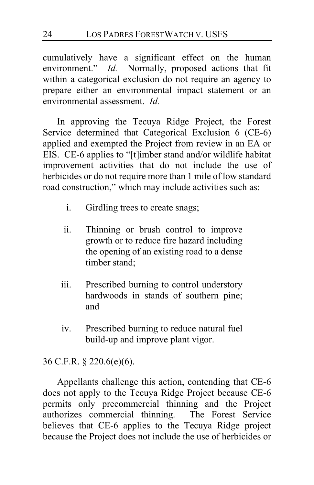cumulatively have a significant effect on the human environment." *Id.* Normally, proposed actions that fit within a categorical exclusion do not require an agency to prepare either an environmental impact statement or an environmental assessment. *Id.*

In approving the Tecuya Ridge Project, the Forest Service determined that Categorical Exclusion 6 (CE-6) applied and exempted the Project from review in an EA or EIS. CE-6 applies to "[t]imber stand and/or wildlife habitat improvement activities that do not include the use of herbicides or do not require more than 1 mile of low standard road construction," which may include activities such as:

- i. Girdling trees to create snags;
- ii. Thinning or brush control to improve growth or to reduce fire hazard including the opening of an existing road to a dense timber stand;
- iii. Prescribed burning to control understory hardwoods in stands of southern pine; and
- iv. Prescribed burning to reduce natural fuel build-up and improve plant vigor.

36 C.F.R. § 220.6(e)(6).

Appellants challenge this action, contending that CE-6 does not apply to the Tecuya Ridge Project because CE-6 permits only precommercial thinning and the Project authorizes commercial thinning. The Forest Service believes that CE-6 applies to the Tecuya Ridge project because the Project does not include the use of herbicides or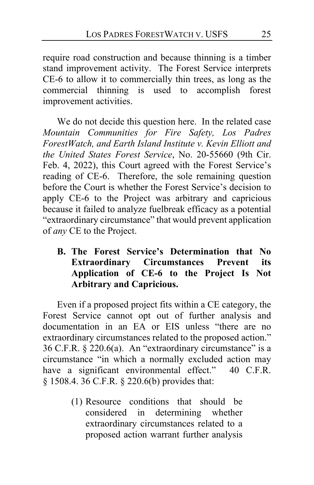require road construction and because thinning is a timber stand improvement activity. The Forest Service interprets CE-6 to allow it to commercially thin trees, as long as the commercial thinning is used to accomplish forest improvement activities.

We do not decide this question here. In the related case *Mountain Communities for Fire Safety, Los Padres ForestWatch, and Earth Island Institute v. Kevin Elliott and the United States Forest Service*, No. 20-55660 (9th Cir. Feb. 4, 2022), this Court agreed with the Forest Service's reading of CE-6. Therefore, the sole remaining question before the Court is whether the Forest Service's decision to apply CE-6 to the Project was arbitrary and capricious because it failed to analyze fuelbreak efficacy as a potential "extraordinary circumstance" that would prevent application of *any* CE to the Project.

**B. The Forest Service's Determination that No Extraordinary Circumstances Prevent its Application of CE-6 to the Project Is Not Arbitrary and Capricious.**

Even if a proposed project fits within a CE category, the Forest Service cannot opt out of further analysis and documentation in an EA or EIS unless "there are no extraordinary circumstances related to the proposed action." 36 C.F.R. § 220.6(a). An "extraordinary circumstance" is a circumstance "in which a normally excluded action may have a significant environmental effect." 40 C.F.R. § 1508.4. 36 C.F.R. § 220.6(b) provides that:

> (1) Resource conditions that should be considered in determining whether extraordinary circumstances related to a proposed action warrant further analysis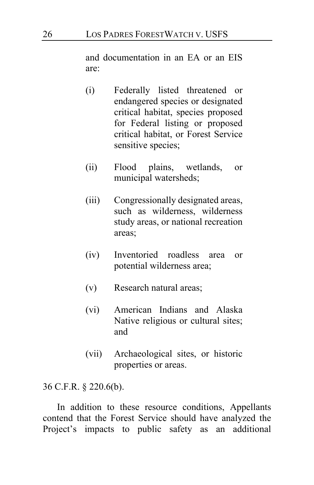and documentation in an EA or an EIS are:

- (i) Federally listed threatened or endangered species or designated critical habitat, species proposed for Federal listing or proposed critical habitat, or Forest Service sensitive species;
- (ii) Flood plains, wetlands, or municipal watersheds;
- (iii) Congressionally designated areas, such as wilderness, wilderness study areas, or national recreation areas;
- (iv) Inventoried roadless area or potential wilderness area;
- (v) Research natural areas;
- (vi) American Indians and Alaska Native religious or cultural sites; and
- (vii) Archaeological sites, or historic properties or areas.

36 C.F.R. § 220.6(b).

In addition to these resource conditions, Appellants contend that the Forest Service should have analyzed the Project's impacts to public safety as an additional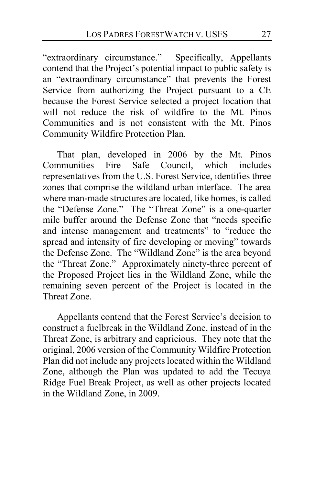"extraordinary circumstance." Specifically, Appellants contend that the Project's potential impact to public safety is an "extraordinary circumstance" that prevents the Forest Service from authorizing the Project pursuant to a CE because the Forest Service selected a project location that will not reduce the risk of wildfire to the Mt. Pinos Communities and is not consistent with the Mt. Pinos Community Wildfire Protection Plan.

That plan, developed in 2006 by the Mt. Pinos Communities Fire Safe Council, which includes representatives from the U.S. Forest Service, identifies three zones that comprise the wildland urban interface. The area where man-made structures are located, like homes, is called the "Defense Zone." The "Threat Zone" is a one-quarter mile buffer around the Defense Zone that "needs specific and intense management and treatments" to "reduce the spread and intensity of fire developing or moving" towards the Defense Zone. The "Wildland Zone" is the area beyond the "Threat Zone." Approximately ninety-three percent of the Proposed Project lies in the Wildland Zone, while the remaining seven percent of the Project is located in the Threat Zone.

Appellants contend that the Forest Service's decision to construct a fuelbreak in the Wildland Zone, instead of in the Threat Zone, is arbitrary and capricious. They note that the original, 2006 version of the Community Wildfire Protection Plan did not include any projects located within the Wildland Zone, although the Plan was updated to add the Tecuya Ridge Fuel Break Project, as well as other projects located in the Wildland Zone, in 2009.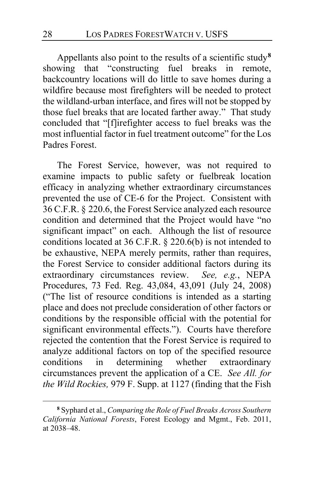Appellants also point to the results of a scientific study**[8](#page-27-0)** showing that "constructing fuel breaks in remote, backcountry locations will do little to save homes during a wildfire because most firefighters will be needed to protect the wildland-urban interface, and fires will not be stopped by those fuel breaks that are located farther away." That study concluded that "[f]irefighter access to fuel breaks was the most influential factor in fuel treatment outcome" for the Los Padres Forest.

The Forest Service, however, was not required to examine impacts to public safety or fuelbreak location efficacy in analyzing whether extraordinary circumstances prevented the use of CE-6 for the Project. Consistent with 36 C.F.R. § 220.6, the Forest Service analyzed each resource condition and determined that the Project would have "no significant impact" on each. Although the list of resource conditions located at 36 C.F.R. § 220.6(b) is not intended to be exhaustive, NEPA merely permits, rather than requires, the Forest Service to consider additional factors during its extraordinary circumstances review. *See, e.g.*, NEPA Procedures, 73 Fed. Reg. 43,084, 43,091 (July 24, 2008) ("The list of resource conditions is intended as a starting place and does not preclude consideration of other factors or conditions by the responsible official with the potential for significant environmental effects."). Courts have therefore rejected the contention that the Forest Service is required to analyze additional factors on top of the specified resource conditions in determining whether extraordinary circumstances prevent the application of a CE. *See All. for the Wild Rockies,* 979 F. Supp. at 1127 (finding that the Fish

<span id="page-27-0"></span>**<sup>8</sup>** Syphard et al., *Comparing the Role of Fuel Breaks Across Southern California National Forests*, Forest Ecology and Mgmt., Feb. 2011, at 2038–48.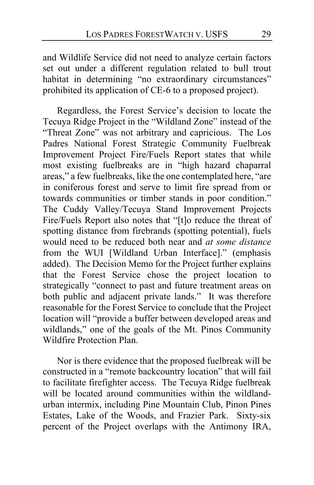and Wildlife Service did not need to analyze certain factors set out under a different regulation related to bull trout habitat in determining "no extraordinary circumstances" prohibited its application of CE-6 to a proposed project).

Regardless, the Forest Service's decision to locate the Tecuya Ridge Project in the "Wildland Zone" instead of the "Threat Zone" was not arbitrary and capricious. The Los Padres National Forest Strategic Community Fuelbreak Improvement Project Fire/Fuels Report states that while most existing fuelbreaks are in "high hazard chaparral areas," a few fuelbreaks, like the one contemplated here, "are in coniferous forest and serve to limit fire spread from or towards communities or timber stands in poor condition." The Cuddy Valley/Tecuya Stand Improvement Projects Fire/Fuels Report also notes that "[t]o reduce the threat of spotting distance from firebrands (spotting potential), fuels would need to be reduced both near and *at some distance* from the WUI [Wildland Urban Interface]." (emphasis added). The Decision Memo for the Project further explains that the Forest Service chose the project location to strategically "connect to past and future treatment areas on both public and adjacent private lands." It was therefore reasonable for the Forest Service to conclude that the Project location will "provide a buffer between developed areas and wildlands," one of the goals of the Mt. Pinos Community Wildfire Protection Plan.

Nor is there evidence that the proposed fuelbreak will be constructed in a "remote backcountry location" that will fail to facilitate firefighter access. The Tecuya Ridge fuelbreak will be located around communities within the wildlandurban intermix, including Pine Mountain Club, Pinon Pines Estates, Lake of the Woods, and Frazier Park. Sixty-six percent of the Project overlaps with the Antimony IRA,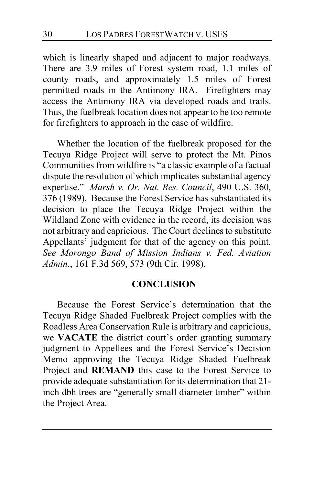which is linearly shaped and adjacent to major roadways. There are 3.9 miles of Forest system road, 1.1 miles of county roads, and approximately 1.5 miles of Forest permitted roads in the Antimony IRA. Firefighters may access the Antimony IRA via developed roads and trails. Thus, the fuelbreak location does not appear to be too remote for firefighters to approach in the case of wildfire.

Whether the location of the fuelbreak proposed for the Tecuya Ridge Project will serve to protect the Mt. Pinos Communities from wildfire is "a classic example of a factual dispute the resolution of which implicates substantial agency expertise." *Marsh v. Or. Nat. Res. Council*, 490 U.S. 360, 376 (1989). Because the Forest Service has substantiated its decision to place the Tecuya Ridge Project within the Wildland Zone with evidence in the record, its decision was not arbitrary and capricious. The Court declines to substitute Appellants' judgment for that of the agency on this point. *See Morongo Band of Mission Indians v. Fed. Aviation Admin.*, 161 F.3d 569, 573 (9th Cir. 1998).

### **CONCLUSION**

Because the Forest Service's determination that the Tecuya Ridge Shaded Fuelbreak Project complies with the Roadless Area Conservation Rule is arbitrary and capricious, we **VACATE** the district court's order granting summary judgment to Appellees and the Forest Service's Decision Memo approving the Tecuya Ridge Shaded Fuelbreak Project and **REMAND** this case to the Forest Service to provide adequate substantiation for its determination that 21 inch dbh trees are "generally small diameter timber" within the Project Area.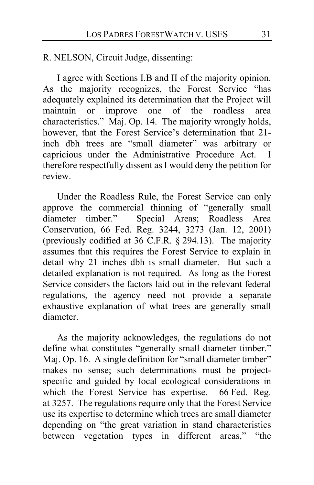R. NELSON, Circuit Judge, dissenting:

I agree with Sections I.B and II of the majority opinion. As the majority recognizes, the Forest Service "has adequately explained its determination that the Project will maintain or improve one of the roadless area characteristics." Maj. Op. [14.](#page-13-0) The majority wrongly holds, however, that the Forest Service's determination that 21inch dbh trees are "small diameter" was arbitrary or capricious under the Administrative Procedure Act. I therefore respectfully dissent as I would deny the petition for review.

Under the Roadless Rule, the Forest Service can only approve the commercial thinning of "generally small diameter timber." Special Areas; Roadless Area Conservation, 66 Fed. Reg. 3244, 3273 (Jan. 12, 2001) (previously codified at 36 C.F.R. § 294.13).The majority assumes that this requires the Forest Service to explain in detail why 21 inches dbh is small diameter. But such a detailed explanation is not required. As long as the Forest Service considers the factors laid out in the relevant federal regulations, the agency need not provide a separate exhaustive explanation of what trees are generally small diameter.

As the majority acknowledges, the regulations do not define what constitutes "generally small diameter timber." Maj. Op. [16.](#page-15-0) A single definition for "small diameter timber" makes no sense; such determinations must be projectspecific and guided by local ecological considerations in which the Forest Service has expertise. 66 Fed. Reg. at 3257. The regulations require only that the Forest Service use its expertise to determine which trees are small diameter depending on "the great variation in stand characteristics between vegetation types in different areas," "the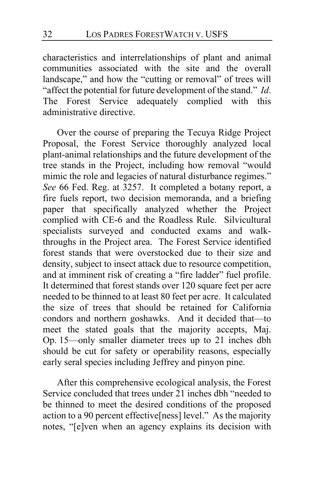characteristics and interrelationships of plant and animal communities associated with the site and the overall landscape," and how the "cutting or removal" of trees will "affect the potential for future development of the stand." *Id*. The Forest Service adequately complied with this administrative directive.

Over the course of preparing the Tecuya Ridge Project Proposal, the Forest Service thoroughly analyzed local plant-animal relationships and the future development of the tree stands in the Project, including how removal "would mimic the role and legacies of natural disturbance regimes." *See* 66 Fed. Reg. at 3257. It completed a botany report, a fire fuels report, two decision memoranda, and a briefing paper that specifically analyzed whether the Project complied with CE-6 and the Roadless Rule. Silvicultural specialists surveyed and conducted exams and walkthroughs in the Project area.The Forest Service identified forest stands that were overstocked due to their size and density, subject to insect attack due to resource competition, and at imminent risk of creating a "fire ladder" fuel profile. It determined that forest stands over 120 square feet per acre needed to be thinned to at least 80 feet per acre. It calculated the size of trees that should be retained for California condors and northern goshawks. And it decided that—to meet the stated goals that the majority accepts, Maj. Op. [15—](#page-14-0)only smaller diameter trees up to 21 inches dbh should be cut for safety or operability reasons, especially early seral species including Jeffrey and pinyon pine.

After this comprehensive ecological analysis, the Forest Service concluded that trees under 21 inches dbh "needed to be thinned to meet the desired conditions of the proposed action to a 90 percent effective[ness] level." As the majority notes, "[e]ven when an agency explains its decision with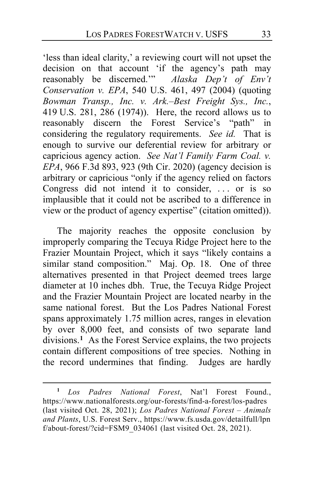'less than ideal clarity,' a reviewing court will not upset the decision on that account 'if the agency's path may reasonably be discerned.'" *Alaska Dep't of Env't Conservation v. EPA*, 540 U.S. 461, 497 (2004) (quoting *Bowman Transp., Inc. v. Ark.–Best Freight Sys., Inc.*, 419 U.S. 281, 286 (1974)). Here, the record allows us to reasonably discern the Forest Service's "path" in considering the regulatory requirements. *See id.* That is enough to survive our deferential review for arbitrary or capricious agency action. *See Nat'l Family Farm Coal. v. EPA*, 966 F.3d 893, 923 (9th Cir. 2020) (agency decision is arbitrary or capricious "only if the agency relied on factors Congress did not intend it to consider, ... or is so implausible that it could not be ascribed to a difference in view or the product of agency expertise" (citation omitted)).

The majority reaches the opposite conclusion by improperly comparing the Tecuya Ridge Project here to the Frazier Mountain Project, which it says "likely contains a similar stand composition." Maj. Op. [18.](#page-17-0) One of three alternatives presented in that Project deemed trees large diameter at 10 inches dbh.True, the Tecuya Ridge Project and the Frazier Mountain Project are located nearby in the same national forest. But the Los Padres National Forest spans approximately 1.75 million acres, ranges in elevation by over 8,000 feet, and consists of two separate land divisions.**[1](#page-32-0)** As the Forest Service explains, the two projects contain different compositions of tree species. Nothing in the record undermines that finding. Judges are hardly

<span id="page-32-0"></span>**<sup>1</sup>** *Los Padres National Forest*, Nat'l Forest Found., https://www.nationalforests.org/our-forests/find-a-forest/los-padres (last visited Oct. 28, 2021); *Los Padres National Forest – Animals and Plants*, U.S. Forest Serv., https://www.fs.usda.gov/detailfull/lpn  $f/about-forest'/cid = FSM9$  034061 (last visited Oct. 28, 2021).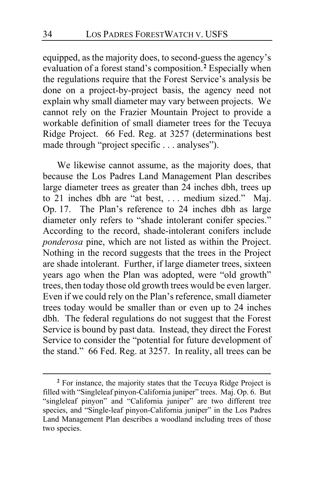equipped, as the majority does, to second-guess the agency's evaluation of a forest stand's composition.**[2](#page-33-0)** Especially when the regulations require that the Forest Service's analysis be done on a project-by-project basis, the agency need not explain why small diameter may vary between projects. We cannot rely on the Frazier Mountain Project to provide a workable definition of small diameter trees for the Tecuya Ridge Project. 66 Fed. Reg. at 3257 (determinations best made through "project specific . . . analyses").

We likewise cannot assume, as the majority does, that because the Los Padres Land Management Plan describes large diameter trees as greater than 24 inches dbh, trees up to 21 inches dbh are "at best, . . . medium sized." Maj. Op. [17.](#page-16-0) The Plan's reference to 24 inches dbh as large diameter only refers to "shade intolerant conifer species." According to the record, shade-intolerant conifers include *ponderosa* pine, which are not listed as within the Project. Nothing in the record suggests that the trees in the Project are shade intolerant. Further, if large diameter trees, sixteen years ago when the Plan was adopted, were "old growth" trees, then today those old growth trees would be even larger. Even if we could rely on the Plan's reference, small diameter trees today would be smaller than or even up to 24 inches dbh. The federal regulations do not suggest that the Forest Service is bound by past data. Instead, they direct the Forest Service to consider the "potential for future development of the stand." 66 Fed. Reg. at 3257. In reality, all trees can be

<span id="page-33-0"></span>**<sup>2</sup>** For instance, the majority states that the Tecuya Ridge Project is filled with "Singleleaf pinyon-California juniper" trees. Maj. Op. [6.](#page-5-2) But "singleleaf pinyon" and "California juniper" are two different tree species, and "Single-leaf pinyon-California juniper" in the Los Padres Land Management Plan describes a woodland including trees of those two species.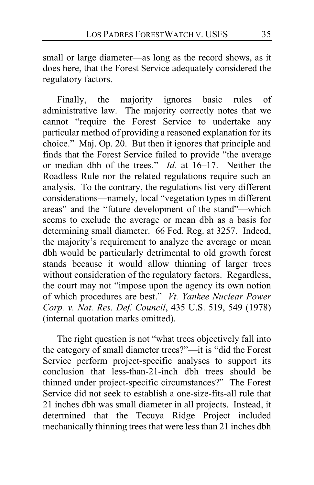small or large diameter—as long as the record shows, as it does here, that the Forest Service adequately considered the regulatory factors.

Finally, the majority ignores basic rules of administrative law. The majority correctly notes that we cannot "require the Forest Service to undertake any particular method of providing a reasoned explanation for its choice." Maj. Op. [20.](#page-19-0) But then it ignores that principle and finds that the Forest Service failed to provide "the average or median dbh of the trees." *Id.* at [16–](#page-15-1)[17.](#page-16-1) Neither the Roadless Rule nor the related regulations require such an analysis. To the contrary, the regulations list very different considerations—namely, local "vegetation types in different areas" and the "future development of the stand"—which seems to exclude the average or mean dbh as a basis for determining small diameter. 66 Fed. Reg. at 3257. Indeed, the majority's requirement to analyze the average or mean dbh would be particularly detrimental to old growth forest stands because it would allow thinning of larger trees without consideration of the regulatory factors. Regardless, the court may not "impose upon the agency its own notion of which procedures are best." *Vt. Yankee Nuclear Power Corp. v. Nat. Res. Def. Council*, 435 U.S. 519, 549 (1978) (internal quotation marks omitted).

The right question is not "what trees objectively fall into the category of small diameter trees?"—it is "did the Forest Service perform project-specific analyses to support its conclusion that less-than-21-inch dbh trees should be thinned under project-specific circumstances?" The Forest Service did not seek to establish a one-size-fits-all rule that 21 inches dbh was small diameter in all projects. Instead, it determined that the Tecuya Ridge Project included mechanically thinning trees that were less than 21 inches dbh